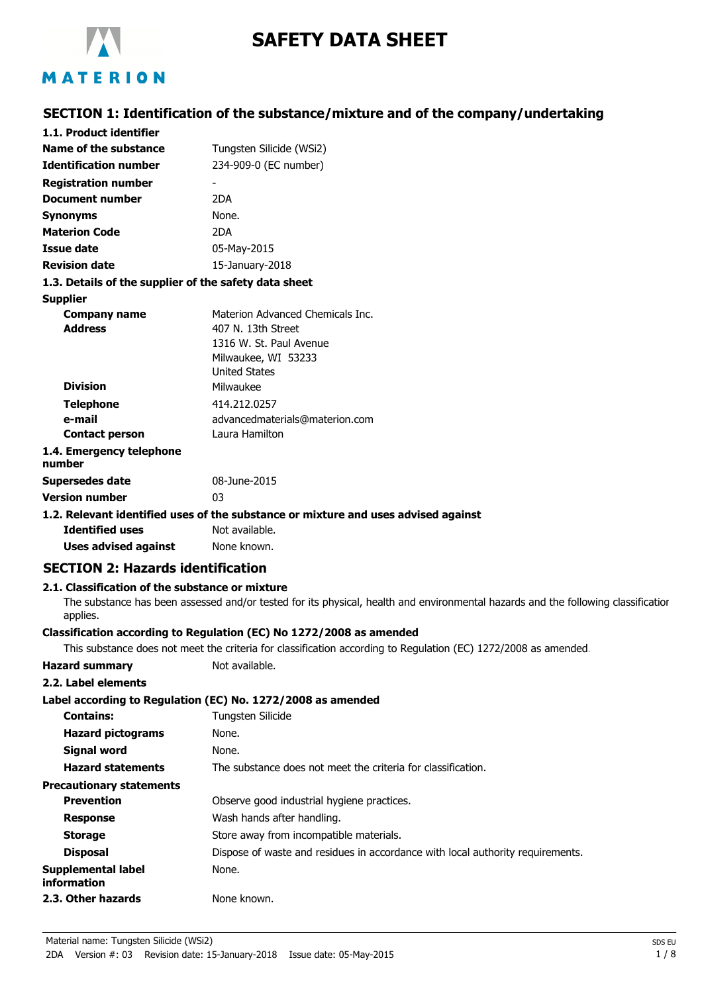

# **SAFETY DATA SHEET**

# MATERION

# **SECTION 1: Identification of the substance/mixture and of the company/undertaking**

| 1.1. Product identifier                               |                                                                                    |
|-------------------------------------------------------|------------------------------------------------------------------------------------|
| Name of the substance                                 | Tungsten Silicide (WSi2)                                                           |
| <b>Identification number</b>                          | 234-909-0 (EC number)                                                              |
| <b>Registration number</b>                            |                                                                                    |
| <b>Document number</b>                                | 2DA                                                                                |
| <b>Synonyms</b>                                       | None.                                                                              |
| <b>Materion Code</b>                                  | 2DA                                                                                |
| Issue date                                            | 05-May-2015                                                                        |
| <b>Revision date</b>                                  | 15-January-2018                                                                    |
| 1.3. Details of the supplier of the safety data sheet |                                                                                    |
| <b>Supplier</b>                                       |                                                                                    |
| Company name                                          | Materion Advanced Chemicals Inc.                                                   |
| <b>Address</b>                                        | 407 N. 13th Street                                                                 |
|                                                       | 1316 W. St. Paul Avenue                                                            |
|                                                       | Milwaukee, WI 53233                                                                |
|                                                       | <b>United States</b>                                                               |
| <b>Division</b>                                       | Milwaukee                                                                          |
| <b>Telephone</b>                                      | 414.212.0257                                                                       |
| e-mail                                                | advancedmaterials@materion.com                                                     |
| <b>Contact person</b>                                 | Laura Hamilton                                                                     |
| 1.4. Emergency telephone<br>number                    |                                                                                    |
| <b>Supersedes date</b>                                | 08-June-2015                                                                       |
| <b>Version number</b>                                 | 03                                                                                 |
|                                                       | 1.2. Relevant identified uses of the substance or mixture and uses advised against |
| <b>Identified uses</b>                                | Not available.                                                                     |
| <b>Uses advised against</b>                           | None known.                                                                        |
| <b>SECTION 2: Hazards identification</b>              |                                                                                    |

### **2.1. Classification of the substance or mixture**

The substance has been assessed and/or tested for its physical, health and environmental hazards and the following classification applies.

### **Classification according to Regulation (EC) No 1272/2008 as amended**

This substance does not meet the criteria for classification according to Regulation (EC) 1272/2008 as amended.

| <b>Hazard summary</b> | Not available. |
|-----------------------|----------------|
| ----                  |                |

# **2.2. Label elements**

| 4.4. LAVCI CICIIICIIL             |                                                                                |
|-----------------------------------|--------------------------------------------------------------------------------|
|                                   | Label according to Regulation (EC) No. 1272/2008 as amended                    |
| <b>Contains:</b>                  | Tungsten Silicide                                                              |
| <b>Hazard pictograms</b>          | None.                                                                          |
| Signal word                       | None.                                                                          |
| <b>Hazard statements</b>          | The substance does not meet the criteria for classification.                   |
| <b>Precautionary statements</b>   |                                                                                |
| <b>Prevention</b>                 | Observe good industrial hygiene practices.                                     |
| <b>Response</b>                   | Wash hands after handling.                                                     |
| <b>Storage</b>                    | Store away from incompatible materials.                                        |
| <b>Disposal</b>                   | Dispose of waste and residues in accordance with local authority requirements. |
| Supplemental label<br>information | None.                                                                          |
| 2.3. Other hazards                | None known.                                                                    |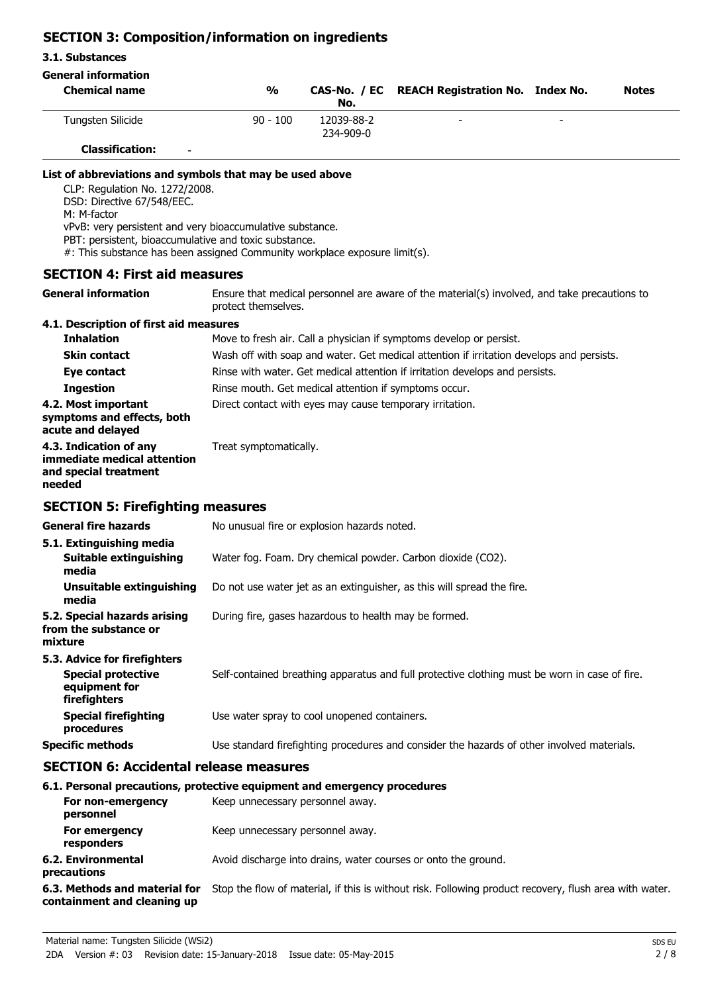# **SECTION 3: Composition/information on ingredients**

### **3.1. Substances**

| <b>General information</b>                                                                                                                                                                                                                                                                                                                  |                                                                                                                                                                                                                                                                                                                                                                      |                         |                                         |  |              |
|---------------------------------------------------------------------------------------------------------------------------------------------------------------------------------------------------------------------------------------------------------------------------------------------------------------------------------------------|----------------------------------------------------------------------------------------------------------------------------------------------------------------------------------------------------------------------------------------------------------------------------------------------------------------------------------------------------------------------|-------------------------|-----------------------------------------|--|--------------|
| <b>Chemical name</b>                                                                                                                                                                                                                                                                                                                        | $\frac{1}{2}$                                                                                                                                                                                                                                                                                                                                                        | CAS-No. / EC<br>No.     | <b>REACH Registration No. Index No.</b> |  | <b>Notes</b> |
| Tungsten Silicide                                                                                                                                                                                                                                                                                                                           | $90 - 100$                                                                                                                                                                                                                                                                                                                                                           | 12039-88-2<br>234-909-0 |                                         |  |              |
| <b>Classification:</b>                                                                                                                                                                                                                                                                                                                      |                                                                                                                                                                                                                                                                                                                                                                      |                         |                                         |  |              |
| List of abbreviations and symbols that may be used above<br>CLP: Regulation No. 1272/2008.<br>DSD: Directive 67/548/EEC.<br>M: M-factor<br>vPvB: very persistent and very bioaccumulative substance.<br>PBT: persistent, bioaccumulative and toxic substance.<br>#: This substance has been assigned Community workplace exposure limit(s). |                                                                                                                                                                                                                                                                                                                                                                      |                         |                                         |  |              |
| <b>SECTION 4: First aid measures</b>                                                                                                                                                                                                                                                                                                        |                                                                                                                                                                                                                                                                                                                                                                      |                         |                                         |  |              |
| <b>General information</b>                                                                                                                                                                                                                                                                                                                  | Ensure that medical personnel are aware of the material(s) involved, and take precautions to<br>protect themselves.                                                                                                                                                                                                                                                  |                         |                                         |  |              |
| 4.1. Description of first aid measures<br><b>Inhalation</b><br><b>Skin contact</b><br>Eye contact<br><b>Ingestion</b><br>4.2. Most important<br>symptoms and effects, both                                                                                                                                                                  | Move to fresh air. Call a physician if symptoms develop or persist.<br>Wash off with soap and water. Get medical attention if irritation develops and persists.<br>Rinse with water. Get medical attention if irritation develops and persists.<br>Rinse mouth. Get medical attention if symptoms occur.<br>Direct contact with eyes may cause temporary irritation. |                         |                                         |  |              |
| acute and delayed<br>4.3. Indication of any<br>immediate medical attention<br>and special treatment<br>needed                                                                                                                                                                                                                               | Treat symptomatically.                                                                                                                                                                                                                                                                                                                                               |                         |                                         |  |              |
| <b>SECTION 5: Firefighting measures</b>                                                                                                                                                                                                                                                                                                     |                                                                                                                                                                                                                                                                                                                                                                      |                         |                                         |  |              |
| <b>General fire hazards</b>                                                                                                                                                                                                                                                                                                                 | No unusual fire or explosion hazards noted.                                                                                                                                                                                                                                                                                                                          |                         |                                         |  |              |
| 5.1. Extinguishing media<br>Suitable extinguishing<br>media                                                                                                                                                                                                                                                                                 | Water fog. Foam. Dry chemical powder. Carbon dioxide (CO2).                                                                                                                                                                                                                                                                                                          |                         |                                         |  |              |
| <b>Unsuitable extinguishing</b><br>media                                                                                                                                                                                                                                                                                                    | Do not use water jet as an extinguisher, as this will spread the fire.                                                                                                                                                                                                                                                                                               |                         |                                         |  |              |
| 5.2. Special hazards arising<br>from the substance or<br>mixture                                                                                                                                                                                                                                                                            | During fire, gases hazardous to health may be formed.                                                                                                                                                                                                                                                                                                                |                         |                                         |  |              |
| 5.3. Advice for firefighters<br><b>Special protective</b><br>equipment for<br>firefighters                                                                                                                                                                                                                                                  | Self-contained breathing apparatus and full protective clothing must be worn in case of fire.                                                                                                                                                                                                                                                                        |                         |                                         |  |              |
| <b>Special firefighting</b><br>procedures                                                                                                                                                                                                                                                                                                   | Use water spray to cool unopened containers.                                                                                                                                                                                                                                                                                                                         |                         |                                         |  |              |
| <b>Specific methods</b>                                                                                                                                                                                                                                                                                                                     | Use standard firefighting procedures and consider the hazards of other involved materials.                                                                                                                                                                                                                                                                           |                         |                                         |  |              |
| <b>SECTION 6: Accidental release measures</b>                                                                                                                                                                                                                                                                                               |                                                                                                                                                                                                                                                                                                                                                                      |                         |                                         |  |              |
| 6.1. Personal precautions, protective equipment and emergency procedures<br>For non-emergency<br>personnel                                                                                                                                                                                                                                  | Keep unnecessary personnel away.                                                                                                                                                                                                                                                                                                                                     |                         |                                         |  |              |
| For emergency<br>responders                                                                                                                                                                                                                                                                                                                 | Keep unnecessary personnel away.                                                                                                                                                                                                                                                                                                                                     |                         |                                         |  |              |
| 6.2. Environmental                                                                                                                                                                                                                                                                                                                          | Avoid discharge into drains, water courses or onto the ground.                                                                                                                                                                                                                                                                                                       |                         |                                         |  |              |

**precautions**

**6.3. Methods and material for** Stop the flow of material, if this is without risk. Following product recovery, flush area with water. **containment and cleaning up**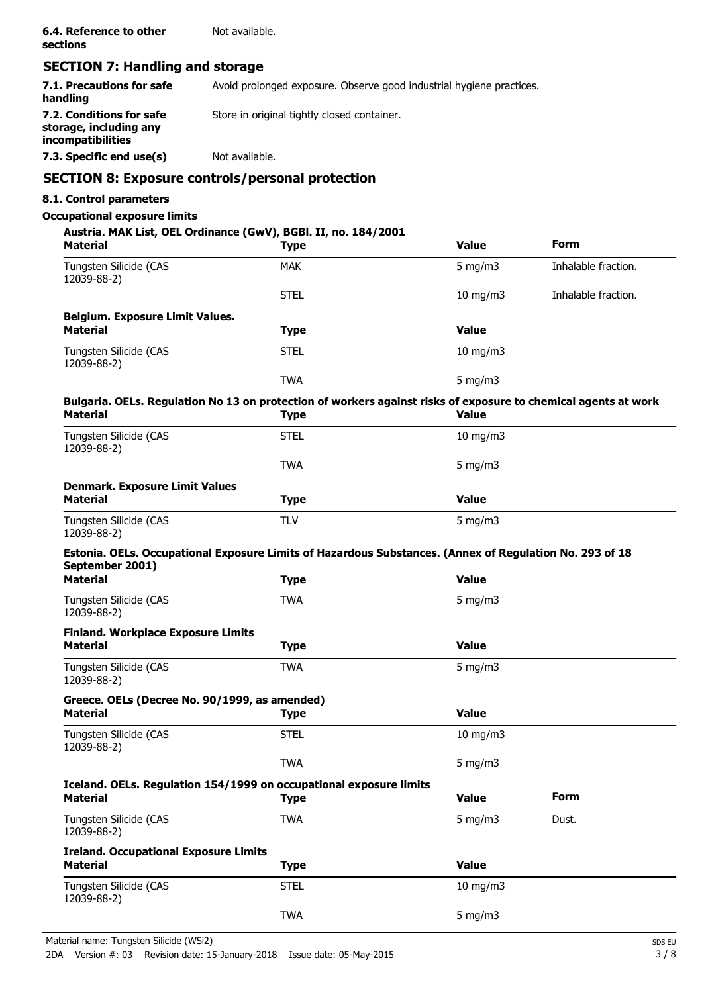# **SECTION 7: Handling and storage**

| 7.1. Precautions for safe<br>handling                                   | Avoid prolonged exposure. Observe good industrial hygiene practices. |
|-------------------------------------------------------------------------|----------------------------------------------------------------------|
| 7.2. Conditions for safe<br>storage, including any<br>incompatibilities | Store in original tightly closed container.                          |
| 7.3. Specific end use(s)                                                | Not available.                                                       |
|                                                                         |                                                                      |

# **SECTION 8: Exposure controls/personal protection**

### **8.1. Control parameters**

### **Occupational exposure limits**

### **Austria. MAK List, OEL Ordinance (GwV), BGBl. II, no. 184/2001**

| <b>Material</b>                                                                                                | <b>Type</b> | <b>Value</b>      | <b>Form</b>         |
|----------------------------------------------------------------------------------------------------------------|-------------|-------------------|---------------------|
| Tungsten Silicide (CAS<br>12039-88-2)                                                                          | <b>MAK</b>  | 5 mg/m $3$        | Inhalable fraction. |
|                                                                                                                | <b>STEL</b> | 10 mg/m3          | Inhalable fraction. |
| <b>Belgium. Exposure Limit Values.</b>                                                                         |             |                   |                     |
| <b>Material</b>                                                                                                | <b>Type</b> | <b>Value</b>      |                     |
| Tungsten Silicide (CAS<br>12039-88-2)                                                                          | <b>STEL</b> | $10$ mg/m $3$     |                     |
|                                                                                                                | <b>TWA</b>  | $5$ mg/m $3$      |                     |
| Bulgaria. OELs. Regulation No 13 on protection of workers against risks of exposure to chemical agents at work |             |                   |                     |
| <b>Material</b>                                                                                                | <b>Type</b> | <b>Value</b>      |                     |
| Tungsten Silicide (CAS<br>12039-88-2)                                                                          | <b>STEL</b> | 10 mg/m3          |                     |
|                                                                                                                | <b>TWA</b>  | $5$ mg/m $3$      |                     |
| <b>Denmark. Exposure Limit Values</b>                                                                          |             |                   |                     |
| <b>Material</b>                                                                                                | <b>Type</b> | <b>Value</b>      |                     |
| Tungsten Silicide (CAS<br>12039-88-2)                                                                          | <b>TLV</b>  | $5$ mg/m $3$      |                     |
| Estonia. OELs. Occupational Exposure Limits of Hazardous Substances. (Annex of Regulation No. 293 of 18        |             |                   |                     |
| September 2001)                                                                                                |             |                   |                     |
| <b>Material</b>                                                                                                | <b>Type</b> | <b>Value</b>      |                     |
| Tungsten Silicide (CAS<br>12039-88-2)                                                                          | <b>TWA</b>  | 5 mg/m $3$        |                     |
| <b>Finland. Workplace Exposure Limits</b>                                                                      |             |                   |                     |
| <b>Material</b>                                                                                                | <b>Type</b> | <b>Value</b>      |                     |
| Tungsten Silicide (CAS<br>12039-88-2)                                                                          | <b>TWA</b>  | 5 mg/m $3$        |                     |
| Greece. OELs (Decree No. 90/1999, as amended)                                                                  |             |                   |                     |
| <b>Material</b>                                                                                                | <b>Type</b> | <b>Value</b>      |                     |
| Tungsten Silicide (CAS<br>12039-88-2)                                                                          | <b>STEL</b> | $10 \text{ mg/m}$ |                     |
|                                                                                                                | <b>TWA</b>  | 5 mg/m $3$        |                     |
| Iceland. OELs. Regulation 154/1999 on occupational exposure limits                                             |             |                   |                     |
| <b>Material</b>                                                                                                | <b>Type</b> | <b>Value</b>      | Form                |
| Tungsten Silicide (CAS<br>12039-88-2)                                                                          | <b>TWA</b>  | 5 mg/m $3$        | Dust.               |
| <b>Ireland. Occupational Exposure Limits</b>                                                                   |             |                   |                     |
| <b>Material</b>                                                                                                | <b>Type</b> | <b>Value</b>      |                     |
| Tungsten Silicide (CAS<br>12039-88-2)                                                                          | <b>STEL</b> | $10$ mg/m $3$     |                     |
|                                                                                                                | <b>TWA</b>  | $5$ mg/m $3$      |                     |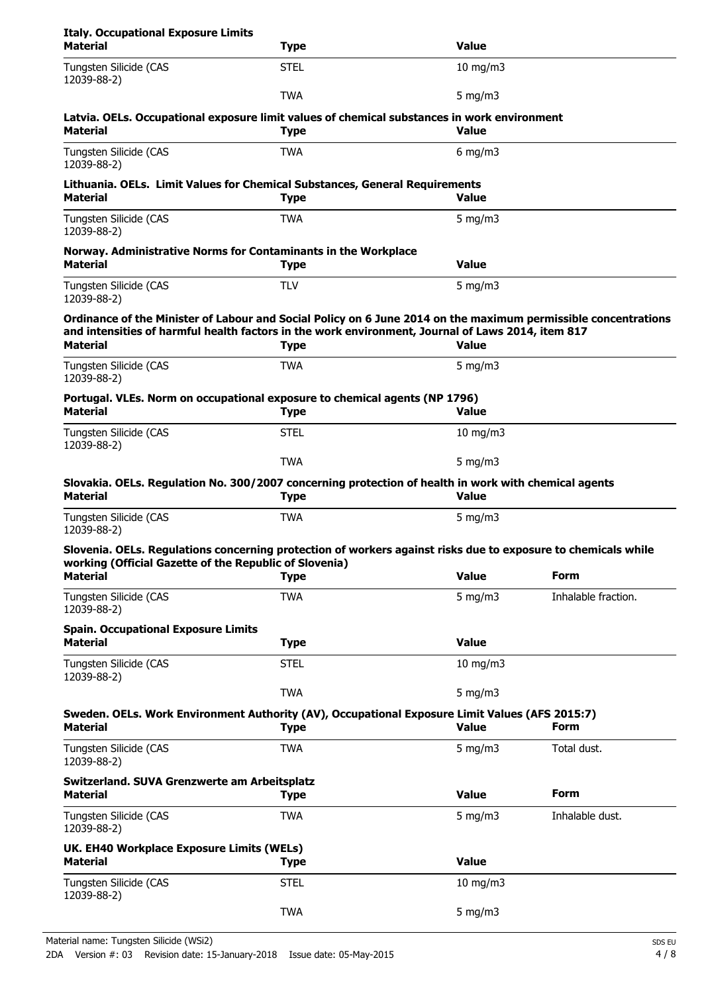| <b>Italy. Occupational Exposure Limits</b><br><b>Material</b>             | <b>Type</b>                                                                                                                                                                                                                        | <b>Value</b>  |                     |
|---------------------------------------------------------------------------|------------------------------------------------------------------------------------------------------------------------------------------------------------------------------------------------------------------------------------|---------------|---------------------|
| Tungsten Silicide (CAS<br>12039-88-2)                                     | <b>STEL</b>                                                                                                                                                                                                                        | 10 mg/m $3$   |                     |
|                                                                           | <b>TWA</b>                                                                                                                                                                                                                         | 5 mg/m $3$    |                     |
| <b>Material</b>                                                           | Latvia. OELs. Occupational exposure limit values of chemical substances in work environment<br><b>Type</b>                                                                                                                         | <b>Value</b>  |                     |
| Tungsten Silicide (CAS<br>12039-88-2)                                     | <b>TWA</b>                                                                                                                                                                                                                         | 6 mg/m $3$    |                     |
| <b>Material</b>                                                           | Lithuania. OELs. Limit Values for Chemical Substances, General Requirements<br><b>Type</b>                                                                                                                                         | <b>Value</b>  |                     |
| Tungsten Silicide (CAS<br>12039-88-2)                                     | <b>TWA</b>                                                                                                                                                                                                                         | 5 mg/m $3$    |                     |
| <b>Material</b>                                                           | Norway. Administrative Norms for Contaminants in the Workplace<br><b>Type</b>                                                                                                                                                      | <b>Value</b>  |                     |
| Tungsten Silicide (CAS<br>12039-88-2)                                     | <b>TLV</b>                                                                                                                                                                                                                         | 5 mg/m $3$    |                     |
| <b>Material</b>                                                           | Ordinance of the Minister of Labour and Social Policy on 6 June 2014 on the maximum permissible concentrations<br>and intensities of harmful health factors in the work environment, Journal of Laws 2014, item 817<br><b>Type</b> | <b>Value</b>  |                     |
| Tungsten Silicide (CAS<br>12039-88-2)                                     | <b>TWA</b>                                                                                                                                                                                                                         | 5 mg/m $3$    |                     |
| <b>Material</b>                                                           | Portugal. VLEs. Norm on occupational exposure to chemical agents (NP 1796)<br><b>Type</b>                                                                                                                                          | <b>Value</b>  |                     |
| Tungsten Silicide (CAS<br>12039-88-2)                                     | <b>STEL</b>                                                                                                                                                                                                                        | 10 mg/m $3$   |                     |
|                                                                           | <b>TWA</b>                                                                                                                                                                                                                         | 5 mg/m $3$    |                     |
| <b>Material</b>                                                           | Slovakia. OELs. Regulation No. 300/2007 concerning protection of health in work with chemical agents<br><b>Type</b>                                                                                                                | <b>Value</b>  |                     |
| Tungsten Silicide (CAS<br>12039-88-2)                                     | <b>TWA</b>                                                                                                                                                                                                                         | 5 mg/m $3$    |                     |
|                                                                           | Slovenia. OELs. Regulations concerning protection of workers against risks due to exposure to chemicals while                                                                                                                      |               |                     |
| working (Official Gazette of the Republic of Slovenia)<br><b>Material</b> | <b>Type</b>                                                                                                                                                                                                                        | <b>Value</b>  | Form                |
| Tungsten Silicide (CAS<br>12039-88-2)                                     | <b>TWA</b>                                                                                                                                                                                                                         | 5 mg/m $3$    | Inhalable fraction. |
| <b>Spain. Occupational Exposure Limits</b><br><b>Material</b>             | <b>Type</b>                                                                                                                                                                                                                        | <b>Value</b>  |                     |
| Tungsten Silicide (CAS                                                    | <b>STEL</b>                                                                                                                                                                                                                        | 10 mg/m3      |                     |
| 12039-88-2)                                                               | <b>TWA</b>                                                                                                                                                                                                                         | 5 mg/m $3$    |                     |
| <b>Material</b>                                                           | Sweden. OELs. Work Environment Authority (AV), Occupational Exposure Limit Values (AFS 2015:7)<br><b>Type</b>                                                                                                                      | <b>Value</b>  | Form                |
| Tungsten Silicide (CAS<br>12039-88-2)                                     | <b>TWA</b>                                                                                                                                                                                                                         | 5 mg/m $3$    | Total dust.         |
| Switzerland. SUVA Grenzwerte am Arbeitsplatz<br><b>Material</b>           | <b>Type</b>                                                                                                                                                                                                                        | <b>Value</b>  | Form                |
| Tungsten Silicide (CAS<br>12039-88-2)                                     | <b>TWA</b>                                                                                                                                                                                                                         | 5 mg/m $3$    | Inhalable dust.     |
| UK. EH40 Workplace Exposure Limits (WELs)                                 |                                                                                                                                                                                                                                    |               |                     |
| <b>Material</b>                                                           | <b>Type</b>                                                                                                                                                                                                                        | <b>Value</b>  |                     |
| Tungsten Silicide (CAS<br>12039-88-2)                                     | <b>STEL</b>                                                                                                                                                                                                                        | $10$ mg/m $3$ |                     |
|                                                                           | <b>TWA</b>                                                                                                                                                                                                                         | $5$ mg/m $3$  |                     |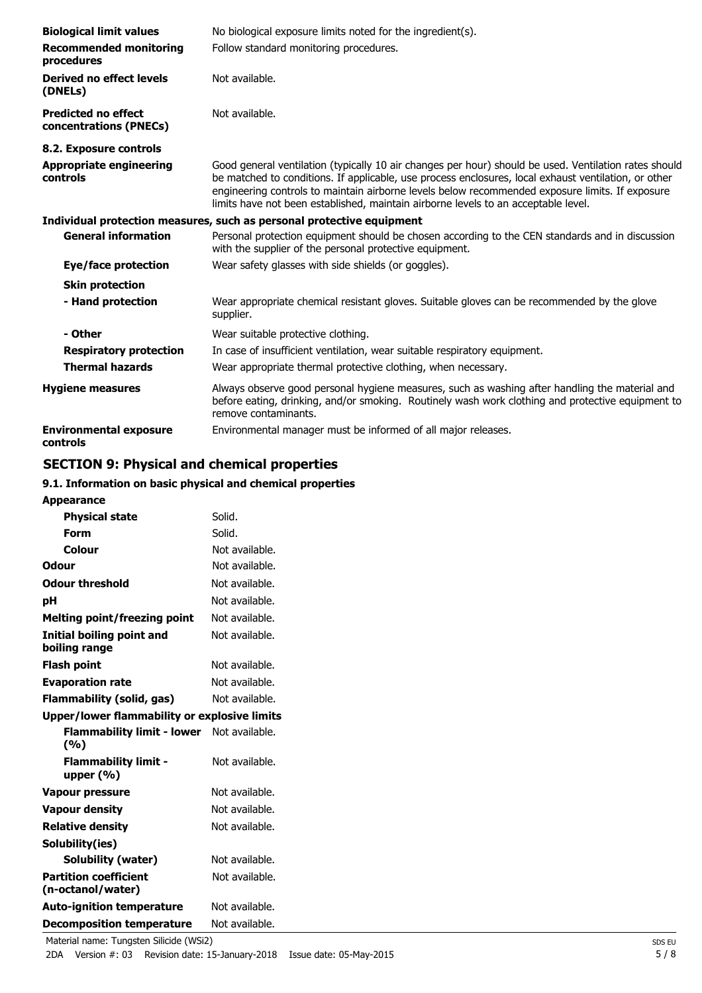| <b>Biological limit values</b><br><b>Recommended monitoring</b><br>procedures | No biological exposure limits noted for the ingredient(s).<br>Follow standard monitoring procedures.                                                                                                                                                                                                                                                                                                   |
|-------------------------------------------------------------------------------|--------------------------------------------------------------------------------------------------------------------------------------------------------------------------------------------------------------------------------------------------------------------------------------------------------------------------------------------------------------------------------------------------------|
| Derived no effect levels<br>(DNELs)                                           | Not available.                                                                                                                                                                                                                                                                                                                                                                                         |
| <b>Predicted no effect</b><br>concentrations (PNECs)                          | Not available.                                                                                                                                                                                                                                                                                                                                                                                         |
| 8.2. Exposure controls                                                        |                                                                                                                                                                                                                                                                                                                                                                                                        |
| <b>Appropriate engineering</b><br>controls                                    | Good general ventilation (typically 10 air changes per hour) should be used. Ventilation rates should<br>be matched to conditions. If applicable, use process enclosures, local exhaust ventilation, or other<br>engineering controls to maintain airborne levels below recommended exposure limits. If exposure<br>limits have not been established, maintain airborne levels to an acceptable level. |
|                                                                               | Individual protection measures, such as personal protective equipment                                                                                                                                                                                                                                                                                                                                  |
| <b>General information</b>                                                    | Personal protection equipment should be chosen according to the CEN standards and in discussion<br>with the supplier of the personal protective equipment.                                                                                                                                                                                                                                             |
| Eye/face protection                                                           | Wear safety glasses with side shields (or goggles).                                                                                                                                                                                                                                                                                                                                                    |
| <b>Skin protection</b>                                                        |                                                                                                                                                                                                                                                                                                                                                                                                        |
| - Hand protection                                                             | Wear appropriate chemical resistant gloves. Suitable gloves can be recommended by the glove<br>supplier.                                                                                                                                                                                                                                                                                               |
| - Other                                                                       | Wear suitable protective clothing.                                                                                                                                                                                                                                                                                                                                                                     |
| <b>Respiratory protection</b>                                                 | In case of insufficient ventilation, wear suitable respiratory equipment.                                                                                                                                                                                                                                                                                                                              |
| <b>Thermal hazards</b>                                                        | Wear appropriate thermal protective clothing, when necessary.                                                                                                                                                                                                                                                                                                                                          |
| <b>Hygiene measures</b>                                                       | Always observe good personal hygiene measures, such as washing after handling the material and<br>before eating, drinking, and/or smoking. Routinely wash work clothing and protective equipment to<br>remove contaminants.                                                                                                                                                                            |
| <b>Environmental exposure</b><br>controls                                     | Environmental manager must be informed of all major releases.                                                                                                                                                                                                                                                                                                                                          |

# **SECTION 9: Physical and chemical properties**

### **9.1. Information on basic physical and chemical properties**

| <b>Appearance</b>                                   |                |
|-----------------------------------------------------|----------------|
| <b>Physical state</b>                               | Solid.         |
| Form                                                | Solid.         |
| Colour                                              | Not available. |
| Odour                                               | Not available. |
| <b>Odour threshold</b>                              | Not available. |
| рH                                                  | Not available. |
| <b>Melting point/freezing point</b>                 | Not available. |
| Initial boiling point and<br>boiling range          | Not available. |
| <b>Flash point</b>                                  | Not available. |
| <b>Evaporation rate</b>                             | Not available. |
| Flammability (solid, gas)                           | Not available. |
| <b>Upper/lower flammability or explosive limits</b> |                |
| <b>Flammability limit - lower</b><br>(%)            | Not available. |
| <b>Flammability limit -</b><br>upper $(% )$         | Not available. |
| <b>Vapour pressure</b>                              | Not available. |
| <b>Vapour density</b>                               | Not available. |
| <b>Relative density</b>                             | Not available. |
| Solubility(ies)                                     |                |
| Solubility (water)                                  | Not available. |
| <b>Partition coefficient</b><br>(n-octanol/water)   | Not available. |
| <b>Auto-ignition temperature</b>                    | Not available. |
| <b>Decomposition temperature</b>                    | Not available. |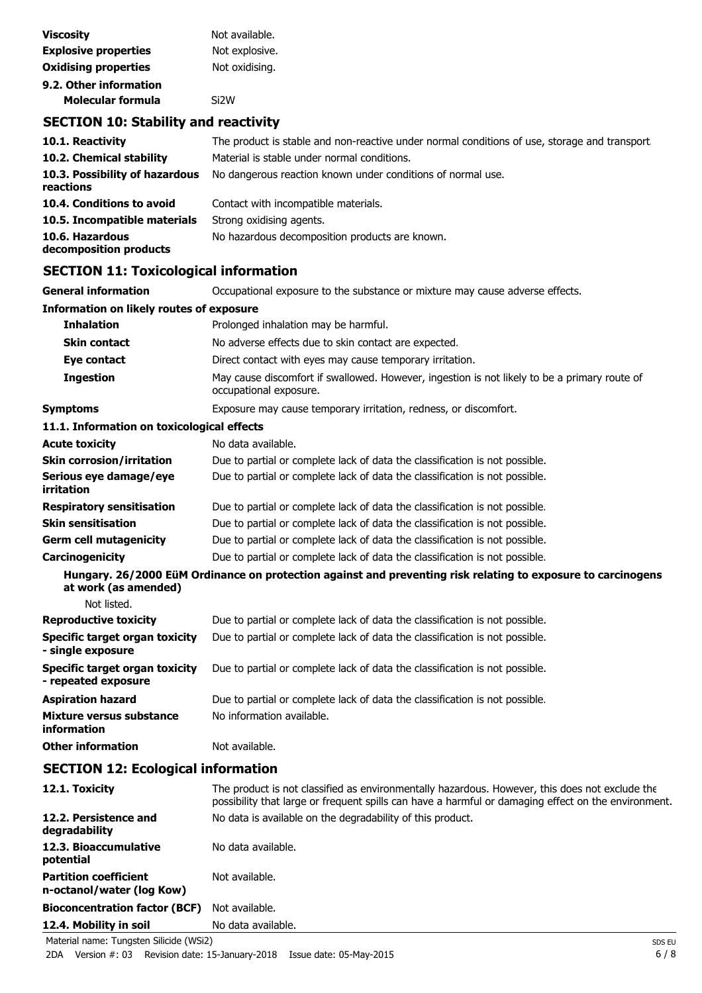| <b>Viscosity</b>            | Not available.    |
|-----------------------------|-------------------|
| <b>Explosive properties</b> | Not explosive.    |
| <b>Oxidising properties</b> | Not oxidising.    |
| 9.2. Other information      |                   |
| Molecular formula           | Si <sub>2</sub> W |

# **SECTION 10: Stability and reactivity**

| 10.1. Reactivity                            | The product is stable and non-reactive under normal conditions of use, storage and transport |
|---------------------------------------------|----------------------------------------------------------------------------------------------|
| 10.2. Chemical stability                    | Material is stable under normal conditions.                                                  |
| 10.3. Possibility of hazardous<br>reactions | No dangerous reaction known under conditions of normal use.                                  |
| 10.4. Conditions to avoid                   | Contact with incompatible materials.                                                         |
| 10.5. Incompatible materials                | Strong oxidising agents.                                                                     |
| 10.6. Hazardous<br>decomposition products   | No hazardous decomposition products are known.                                               |

# **SECTION 11: Toxicological information**

| Occupational exposure to the substance or mixture may cause adverse effects.                                           |
|------------------------------------------------------------------------------------------------------------------------|
| <b>Information on likely routes of exposure</b>                                                                        |
| Prolonged inhalation may be harmful.                                                                                   |
| No adverse effects due to skin contact are expected.                                                                   |
| Direct contact with eyes may cause temporary irritation.                                                               |
| May cause discomfort if swallowed. However, ingestion is not likely to be a primary route of<br>occupational exposure. |
| Exposure may cause temporary irritation, redness, or discomfort.                                                       |
| 11.1. Information on toxicological effects                                                                             |
| No data available.                                                                                                     |
| Due to partial or complete lack of data the classification is not possible.                                            |
| Due to partial or complete lack of data the classification is not possible.                                            |
| Due to partial or complete lack of data the classification is not possible.                                            |
| Due to partial or complete lack of data the classification is not possible.                                            |
| Due to partial or complete lack of data the classification is not possible.                                            |
| Due to partial or complete lack of data the classification is not possible.                                            |
| Hungary. 26/2000 EüM Ordinance on protection against and preventing risk relating to exposure to carcinogens           |
|                                                                                                                        |
| Due to partial or complete lack of data the classification is not possible.                                            |
| Due to partial or complete lack of data the classification is not possible.                                            |
| Due to partial or complete lack of data the classification is not possible.                                            |
| Due to partial or complete lack of data the classification is not possible.                                            |
| No information available.                                                                                              |
| Not available.                                                                                                         |
|                                                                                                                        |

# **SECTION 12: Ecological information**

| 12.1. Toxicity                                            | The product is not classified as environmentally hazardous. However, this does not exclude the<br>possibility that large or frequent spills can have a harmful or damaging effect on the environment. |
|-----------------------------------------------------------|-------------------------------------------------------------------------------------------------------------------------------------------------------------------------------------------------------|
| 12.2. Persistence and<br>degradability                    | No data is available on the degradability of this product.                                                                                                                                            |
| 12.3. Bioaccumulative<br>potential                        | No data available.                                                                                                                                                                                    |
| <b>Partition coefficient</b><br>n-octanol/water (log Kow) | Not available.                                                                                                                                                                                        |
| <b>Bioconcentration factor (BCF)</b>                      | Not available.                                                                                                                                                                                        |
| 12.4. Mobility in soil                                    | No data available.                                                                                                                                                                                    |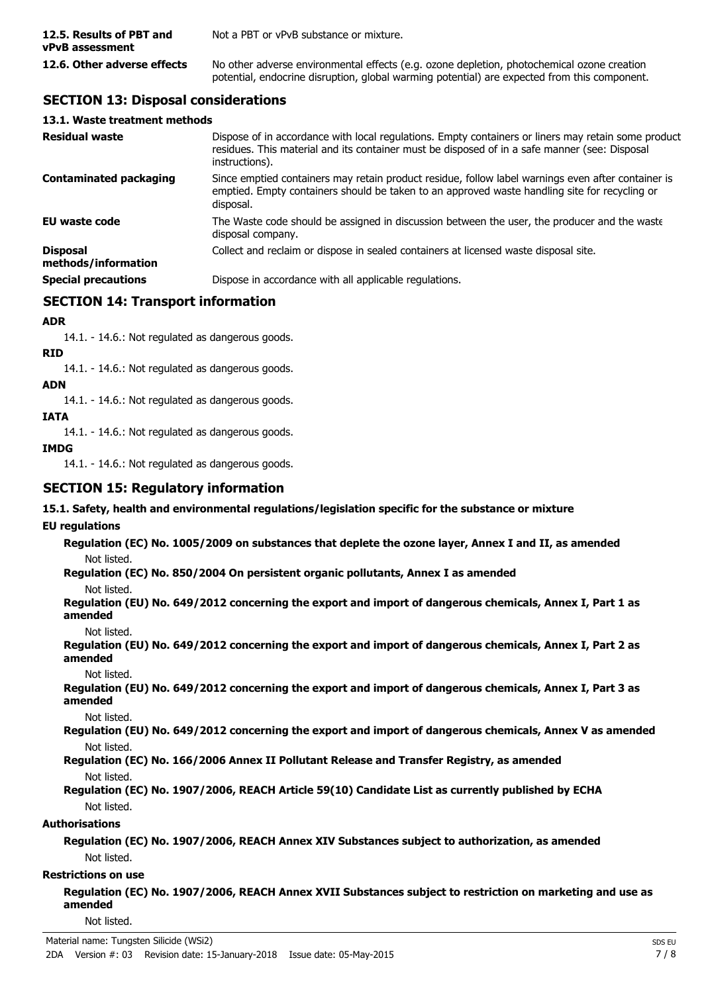| 12.5. Results of PBT and<br>vPvB assessment | Not a PBT or vPvB substance or mixture.                                                                                                                                                    |
|---------------------------------------------|--------------------------------------------------------------------------------------------------------------------------------------------------------------------------------------------|
| 12.6. Other adverse effects                 | No other adverse environmental effects (e.g. ozone depletion, photochemical ozone creation<br>potential, endocrine disruption, global warming potential) are expected from this component. |

# **SECTION 13: Disposal considerations**

### **13.1. Waste treatment methods**

| <b>Residual waste</b>                  | Dispose of in accordance with local regulations. Empty containers or liners may retain some product<br>residues. This material and its container must be disposed of in a safe manner (see: Disposal<br>instructions). |
|----------------------------------------|------------------------------------------------------------------------------------------------------------------------------------------------------------------------------------------------------------------------|
| <b>Contaminated packaging</b>          | Since emptied containers may retain product residue, follow label warnings even after container is<br>emptied. Empty containers should be taken to an approved waste handling site for recycling or<br>disposal.       |
| <b>EU waste code</b>                   | The Waste code should be assigned in discussion between the user, the producer and the waste<br>disposal company.                                                                                                      |
| <b>Disposal</b><br>methods/information | Collect and reclaim or dispose in sealed containers at licensed waste disposal site.                                                                                                                                   |
| <b>Special precautions</b>             | Dispose in accordance with all applicable regulations.                                                                                                                                                                 |

# **SECTION 14: Transport information**

### **ADR**

14.1. - 14.6.: Not regulated as dangerous goods.

### **RID**

14.1. - 14.6.: Not regulated as dangerous goods.

### **ADN**

14.1. - 14.6.: Not regulated as dangerous goods.

**IATA**

14.1. - 14.6.: Not regulated as dangerous goods.

### **IMDG**

14.1. - 14.6.: Not regulated as dangerous goods.

### **SECTION 15: Regulatory information**

### **15.1. Safety, health and environmental regulations/legislation specific for the substance or mixture**

### **EU regulations**

**Regulation (EC) No. 1005/2009 on substances that deplete the ozone layer, Annex I and II, as amended** Not listed.

**Regulation (EC) No. 850/2004 On persistent organic pollutants, Annex I as amended**

Not listed.

**Regulation (EU) No. 649/2012 concerning the export and import of dangerous chemicals, Annex I, Part 1 as amended**

Not listed.

**Regulation (EU) No. 649/2012 concerning the export and import of dangerous chemicals, Annex I, Part 2 as amended**

Not listed.

**Regulation (EU) No. 649/2012 concerning the export and import of dangerous chemicals, Annex I, Part 3 as amended**

Not listed.

**Regulation (EU) No. 649/2012 concerning the export and import of dangerous chemicals, Annex V as amended** Not listed.

### **Regulation (EC) No. 166/2006 Annex II Pollutant Release and Transfer Registry, as amended** Not listed.

**Regulation (EC) No. 1907/2006, REACH Article 59(10) Candidate List as currently published by ECHA** Not listed.

### **Authorisations**

**Regulation (EC) No. 1907/2006, REACH Annex XIV Substances subject to authorization, as amended** Not listed.

### **Restrictions on use**

**Regulation (EC) No. 1907/2006, REACH Annex XVII Substances subject to restriction on marketing and use as amended**

Not listed.